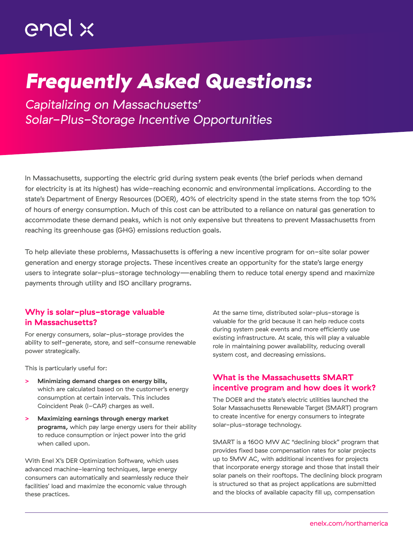# *Frequently Asked Questions:*

*Capitalizing on Massachusetts' Solar-Plus-Storage Incentive Opportunities*

In Massachusetts, supporting the electric grid during system peak events (the brief periods when demand for electricity is at its highest) has wide-reaching economic and environmental implications. According to the state's Department of Energy Resources (DOER), 40% of electricity spend in the state stems from the top 10% of hours of energy consumption. Much of this cost can be attributed to a reliance on natural gas generation to accommodate these demand peaks, which is not only expensive but threatens to prevent Massachusetts from reaching its greenhouse gas (GHG) emissions reduction goals.

To help alleviate these problems, Massachusetts is offering a new incentive program for on-site solar power generation and energy storage projects. These incentives create an opportunity for the state's large energy users to integrate solar-plus-storage technology—enabling them to reduce total energy spend and maximize payments through utility and ISO ancillary programs.

#### Why is solar-plus-storage valuable in Massachusetts?

For energy consumers, solar-plus-storage provides the ability to self-generate, store, and self-consume renewable power strategically.

This is particularly useful for:

- **>** Minimizing demand charges on energy bills, which are calculated based on the customer's energy consumption at certain intervals. This includes Coincident Peak (I-CAP) charges as well.
- **>** Maximizing earnings through energy market programs, which pay large energy users for their ability to reduce consumption or inject power into the grid when called upon.

With Enel X's DER Optimization Software, which uses advanced machine-learning techniques, large energy consumers can automatically and seamlessly reduce their facilities' load and maximize the economic value through these practices.

At the same time, distributed solar-plus-storage is valuable for the grid because it can help reduce costs during system peak events and more efficiently use existing infrastructure. At scale, this will play a valuable role in maintaining power availability, reducing overall system cost, and decreasing emissions.

## What is the Massachusetts SMART incentive program and how does it work?

The DOER and the state's electric utilities launched the Solar Massachusetts Renewable Target (SMART) program to create incentive for energy consumers to integrate solar-plus-storage technology.

SMART is a 1600 MW AC "declining block" program that provides fixed base compensation rates for solar projects up to 5MW AC, with additional incentives for projects that incorporate energy storage and those that install their solar panels on their rooftops. The declining block program is structured so that as project applications are submitted and the blocks of available capacity fill up, compensation